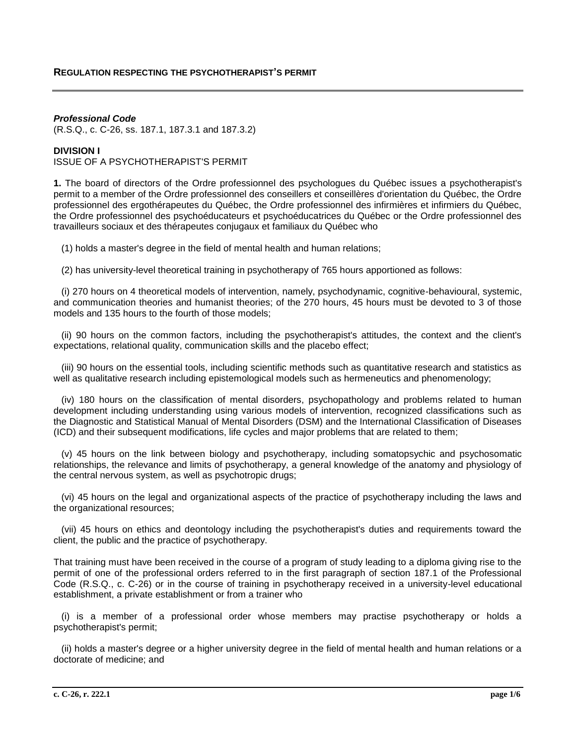# *Professional Code*

(R.S.Q., c. C-26, ss. 187.1, 187.3.1 and 187.3.2)

# **DIVISION I**

ISSUE OF A PSYCHOTHERAPIST'S PERMIT

**1.** The board of directors of the Ordre professionnel des psychologues du Québec issues a psychotherapist's permit to a member of the Ordre professionnel des conseillers et conseillères d'orientation du Québec, the Ordre professionnel des ergothérapeutes du Québec, the Ordre professionnel des infirmières et infirmiers du Québec, the Ordre professionnel des psychoéducateurs et psychoéducatrices du Québec or the Ordre professionnel des travailleurs sociaux et des thérapeutes conjugaux et familiaux du Québec who

(1) holds a master's degree in the field of mental health and human relations;

(2) has university-level theoretical training in psychotherapy of 765 hours apportioned as follows:

 (i) 270 hours on 4 theoretical models of intervention, namely, psychodynamic, cognitive-behavioural, systemic, and communication theories and humanist theories; of the 270 hours, 45 hours must be devoted to 3 of those models and 135 hours to the fourth of those models;

 (ii) 90 hours on the common factors, including the psychotherapist's attitudes, the context and the client's expectations, relational quality, communication skills and the placebo effect;

 (iii) 90 hours on the essential tools, including scientific methods such as quantitative research and statistics as well as qualitative research including epistemological models such as hermeneutics and phenomenology;

 (iv) 180 hours on the classification of mental disorders, psychopathology and problems related to human development including understanding using various models of intervention, recognized classifications such as the Diagnostic and Statistical Manual of Mental Disorders (DSM) and the International Classification of Diseases (ICD) and their subsequent modifications, life cycles and major problems that are related to them;

 (v) 45 hours on the link between biology and psychotherapy, including somatopsychic and psychosomatic relationships, the relevance and limits of psychotherapy, a general knowledge of the anatomy and physiology of the central nervous system, as well as psychotropic drugs;

 (vi) 45 hours on the legal and organizational aspects of the practice of psychotherapy including the laws and the organizational resources;

 (vii) 45 hours on ethics and deontology including the psychotherapist's duties and requirements toward the client, the public and the practice of psychotherapy.

That training must have been received in the course of a program of study leading to a diploma giving rise to the permit of one of the professional orders referred to in the first paragraph of section 187.1 of the Professional Code (R.S.Q., c. C-26) or in the course of training in psychotherapy received in a university-level educational establishment, a private establishment or from a trainer who

 (i) is a member of a professional order whose members may practise psychotherapy or holds a psychotherapist's permit;

 (ii) holds a master's degree or a higher university degree in the field of mental health and human relations or a doctorate of medicine; and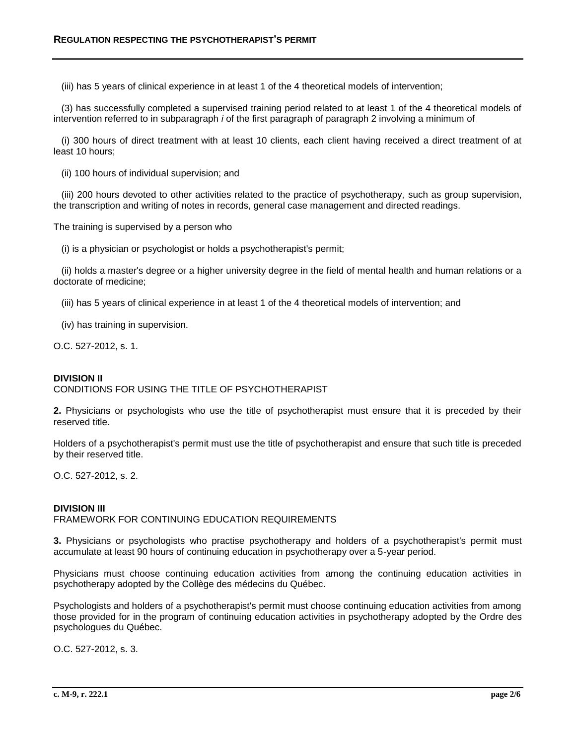(iii) has 5 years of clinical experience in at least 1 of the 4 theoretical models of intervention;

 (3) has successfully completed a supervised training period related to at least 1 of the 4 theoretical models of intervention referred to in subparagraph *i* of the first paragraph of paragraph 2 involving a minimum of

 (i) 300 hours of direct treatment with at least 10 clients, each client having received a direct treatment of at least 10 hours;

(ii) 100 hours of individual supervision; and

 (iii) 200 hours devoted to other activities related to the practice of psychotherapy, such as group supervision, the transcription and writing of notes in records, general case management and directed readings.

The training is supervised by a person who

(i) is a physician or psychologist or holds a psychotherapist's permit;

 (ii) holds a master's degree or a higher university degree in the field of mental health and human relations or a doctorate of medicine;

(iii) has 5 years of clinical experience in at least 1 of the 4 theoretical models of intervention; and

(iv) has training in supervision.

O.C. 527-2012, s. 1.

#### **DIVISION II**

CONDITIONS FOR USING THE TITLE OF PSYCHOTHERAPIST

**2.** Physicians or psychologists who use the title of psychotherapist must ensure that it is preceded by their reserved title.

Holders of a psychotherapist's permit must use the title of psychotherapist and ensure that such title is preceded by their reserved title.

O.C. 527-2012, s. 2.

## **DIVISION III**

FRAMEWORK FOR CONTINUING EDUCATION REQUIREMENTS

**3.** Physicians or psychologists who practise psychotherapy and holders of a psychotherapist's permit must accumulate at least 90 hours of continuing education in psychotherapy over a 5-year period.

Physicians must choose continuing education activities from among the continuing education activities in psychotherapy adopted by the Collège des médecins du Québec.

Psychologists and holders of a psychotherapist's permit must choose continuing education activities from among those provided for in the program of continuing education activities in psychotherapy adopted by the Ordre des psychologues du Québec.

O.C. 527-2012, s. 3.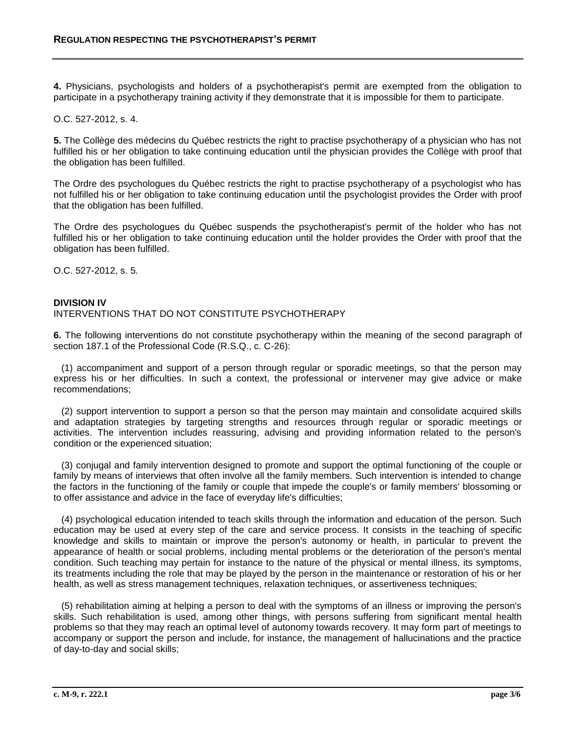**4.** Physicians, psychologists and holders of a psychotherapist's permit are exempted from the obligation to participate in a psychotherapy training activity if they demonstrate that it is impossible for them to participate.

O.C. 527-2012, s. 4.

**5.** The Collège des médecins du Québec restricts the right to practise psychotherapy of a physician who has not fulfilled his or her obligation to take continuing education until the physician provides the Collège with proof that the obligation has been fulfilled.

The Ordre des psychologues du Québec restricts the right to practise psychotherapy of a psychologist who has not fulfilled his or her obligation to take continuing education until the psychologist provides the Order with proof that the obligation has been fulfilled.

The Ordre des psychologues du Québec suspends the psychotherapist's permit of the holder who has not fulfilled his or her obligation to take continuing education until the holder provides the Order with proof that the obligation has been fulfilled.

O.C. 527-2012, s. 5.

### **DIVISION IV**

## INTERVENTIONS THAT DO NOT CONSTITUTE PSYCHOTHERAPY

**6.** The following interventions do not constitute psychotherapy within the meaning of the second paragraph of section 187.1 of the Professional Code (R.S.Q., c. C-26):

 (1) accompaniment and support of a person through regular or sporadic meetings, so that the person may express his or her difficulties. In such a context, the professional or intervener may give advice or make recommendations;

 (2) support intervention to support a person so that the person may maintain and consolidate acquired skills and adaptation strategies by targeting strengths and resources through regular or sporadic meetings or activities. The intervention includes reassuring, advising and providing information related to the person's condition or the experienced situation;

 (3) conjugal and family intervention designed to promote and support the optimal functioning of the couple or family by means of interviews that often involve all the family members. Such intervention is intended to change the factors in the functioning of the family or couple that impede the couple's or family members' blossoming or to offer assistance and advice in the face of everyday life's difficulties;

 (4) psychological education intended to teach skills through the information and education of the person. Such education may be used at every step of the care and service process. It consists in the teaching of specific knowledge and skills to maintain or improve the person's autonomy or health, in particular to prevent the appearance of health or social problems, including mental problems or the deterioration of the person's mental condition. Such teaching may pertain for instance to the nature of the physical or mental illness, its symptoms, its treatments including the role that may be played by the person in the maintenance or restoration of his or her health, as well as stress management techniques, relaxation techniques, or assertiveness techniques;

 (5) rehabilitation aiming at helping a person to deal with the symptoms of an illness or improving the person's skills. Such rehabilitation is used, among other things, with persons suffering from significant mental health problems so that they may reach an optimal level of autonomy towards recovery. It may form part of meetings to accompany or support the person and include, for instance, the management of hallucinations and the practice of day-to-day and social skills;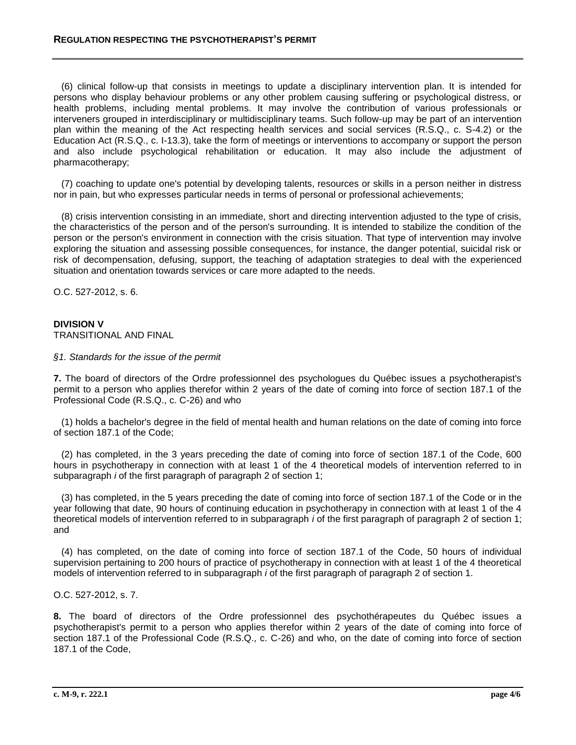(6) clinical follow-up that consists in meetings to update a disciplinary intervention plan. It is intended for persons who display behaviour problems or any other problem causing suffering or psychological distress, or health problems, including mental problems. It may involve the contribution of various professionals or interveners grouped in interdisciplinary or multidisciplinary teams. Such follow-up may be part of an intervention plan within the meaning of the Act respecting health services and social services (R.S.Q., c. S-4.2) or the Education Act (R.S.Q., c. I-13.3), take the form of meetings or interventions to accompany or support the person and also include psychological rehabilitation or education. It may also include the adjustment of pharmacotherapy;

 (7) coaching to update one's potential by developing talents, resources or skills in a person neither in distress nor in pain, but who expresses particular needs in terms of personal or professional achievements;

 (8) crisis intervention consisting in an immediate, short and directing intervention adjusted to the type of crisis, the characteristics of the person and of the person's surrounding. It is intended to stabilize the condition of the person or the person's environment in connection with the crisis situation. That type of intervention may involve exploring the situation and assessing possible consequences, for instance, the danger potential, suicidal risk or risk of decompensation, defusing, support, the teaching of adaptation strategies to deal with the experienced situation and orientation towards services or care more adapted to the needs.

O.C. 527-2012, s. 6.

# **DIVISION V**

TRANSITIONAL AND FINAL

*§1. Standards for the issue of the permit*

**7.** The board of directors of the Ordre professionnel des psychologues du Québec issues a psychotherapist's permit to a person who applies therefor within 2 years of the date of coming into force of section 187.1 of the Professional Code (R.S.Q., c. C-26) and who

 (1) holds a bachelor's degree in the field of mental health and human relations on the date of coming into force of section 187.1 of the Code;

 (2) has completed, in the 3 years preceding the date of coming into force of section 187.1 of the Code, 600 hours in psychotherapy in connection with at least 1 of the 4 theoretical models of intervention referred to in subparagraph *i* of the first paragraph of paragraph 2 of section 1;

 (3) has completed, in the 5 years preceding the date of coming into force of section 187.1 of the Code or in the year following that date, 90 hours of continuing education in psychotherapy in connection with at least 1 of the 4 theoretical models of intervention referred to in subparagraph *i* of the first paragraph of paragraph 2 of section 1; and

 (4) has completed, on the date of coming into force of section 187.1 of the Code, 50 hours of individual supervision pertaining to 200 hours of practice of psychotherapy in connection with at least 1 of the 4 theoretical models of intervention referred to in subparagraph *i* of the first paragraph of paragraph 2 of section 1.

O.C. 527-2012, s. 7.

**8.** The board of directors of the Ordre professionnel des psychothérapeutes du Québec issues a psychotherapist's permit to a person who applies therefor within 2 years of the date of coming into force of section 187.1 of the Professional Code (R.S.Q., c. C-26) and who, on the date of coming into force of section 187.1 of the Code,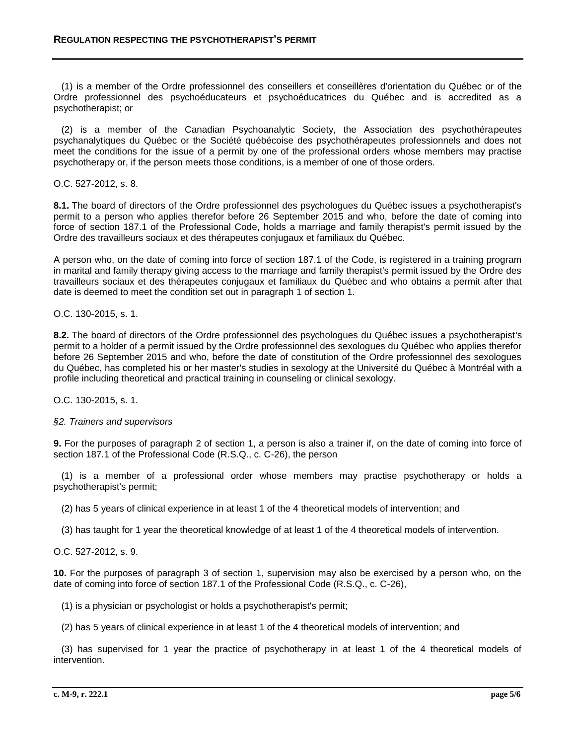(1) is a member of the Ordre professionnel des conseillers et conseillères d'orientation du Québec or of the Ordre professionnel des psychoéducateurs et psychoéducatrices du Québec and is accredited as a psychotherapist; or

 (2) is a member of the Canadian Psychoanalytic Society, the Association des psychothérapeutes psychanalytiques du Québec or the Société québécoise des psychothérapeutes professionnels and does not meet the conditions for the issue of a permit by one of the professional orders whose members may practise psychotherapy or, if the person meets those conditions, is a member of one of those orders.

O.C. 527-2012, s. 8.

**8.1.** The board of directors of the Ordre professionnel des psychologues du Québec issues a psychotherapist's permit to a person who applies therefor before 26 September 2015 and who, before the date of coming into force of section 187.1 of the Professional Code, holds a marriage and family therapist's permit issued by the Ordre des travailleurs sociaux et des thérapeutes conjugaux et familiaux du Québec.

A person who, on the date of coming into force of section 187.1 of the Code, is registered in a training program in marital and family therapy giving access to the marriage and family therapist's permit issued by the Ordre des travailleurs sociaux et des thérapeutes conjugaux et familiaux du Québec and who obtains a permit after that date is deemed to meet the condition set out in paragraph 1 of section 1.

O.C. 130-2015, s. 1.

**8.2.** The board of directors of the Ordre professionnel des psychologues du Québec issues a psychotherapist's permit to a holder of a permit issued by the Ordre professionnel des sexologues du Québec who applies therefor before 26 September 2015 and who, before the date of constitution of the Ordre professionnel des sexologues du Québec, has completed his or her master's studies in sexology at the Université du Québec à Montréal with a profile including theoretical and practical training in counseling or clinical sexology.

O.C. 130-2015, s. 1.

### *§2. Trainers and supervisors*

**9.** For the purposes of paragraph 2 of section 1, a person is also a trainer if, on the date of coming into force of section 187.1 of the Professional Code (R.S.Q., c. C-26), the person

 (1) is a member of a professional order whose members may practise psychotherapy or holds a psychotherapist's permit;

(2) has 5 years of clinical experience in at least 1 of the 4 theoretical models of intervention; and

(3) has taught for 1 year the theoretical knowledge of at least 1 of the 4 theoretical models of intervention.

O.C. 527-2012, s. 9.

**10.** For the purposes of paragraph 3 of section 1, supervision may also be exercised by a person who, on the date of coming into force of section 187.1 of the Professional Code (R.S.Q., c. C-26),

(1) is a physician or psychologist or holds a psychotherapist's permit;

(2) has 5 years of clinical experience in at least 1 of the 4 theoretical models of intervention; and

 (3) has supervised for 1 year the practice of psychotherapy in at least 1 of the 4 theoretical models of intervention.